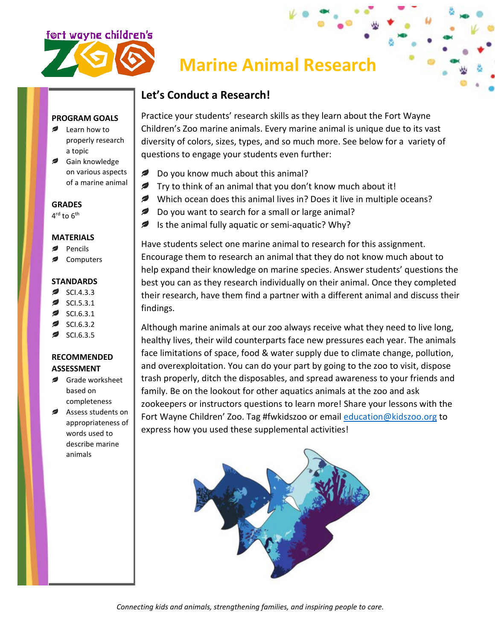

# **Marine Animal Research**

## **Let's Conduct a Research!**

#### **PROGRAM GOALS**

- **■** Learn how to properly research a topic
- Gain knowledge on various aspects of a marine animal

#### **GRADES**

 $4^{\text{rd}}$  to  $6^{\text{th}}$ 

#### **MATERIALS**

- Pencils
- Computers

#### **STANDARDS**

- SCI.4.3.3
- SCI.5.3.1
- SCI.6.3.1
- SCI.6.3.2
- SCI.6.3.5

### **RECOMMENDED ASSESSMENT**

- Grade worksheet based on completeness
- Assess students on appropriateness of words used to describe marine animals

Practice your students' research skills as they learn about the Fort Wayne Children's Zoo marine animals. Every marine animal is unique due to its vast diversity of colors, sizes, types, and so much more. See below for a variety of questions to engage your students even further:

- Do you know much about this animal?
- $\blacktriangleright$  Try to think of an animal that you don't know much about it!
- Which ocean does this animal lives in? Does it live in multiple oceans?
- $\epsilon$ Do you want to search for a small or large animal?
- Ø Is the animal fully aquatic or semi-aquatic? Why?

Have students select one marine animal to research for this assignment. Encourage them to research an animal that they do not know much about to help expand their knowledge on marine species. Answer students' questions the best you can as they research individually on their animal. Once they completed their research, have them find a partner with a different animal and discuss their findings.

Although marine animals at our zoo always receive what they need to live long, healthy lives, their wild counterparts face new pressures each year. The animals face limitations of space, food & water supply due to climate change, pollution, and overexploitation. You can do your part by going to the zoo to visit, dispose trash properly, ditch the disposables, and spread awareness to your friends and family. Be on the lookout for other aquatics animals at the zoo and ask zookeepers or instructors questions to learn more! Share your lessons with the Fort Wayne Children' Zoo. Tag #fwkidszoo or email [education@kidszoo.org](mailto:education@kidszoo.org) to express how you used these supplemental activities!